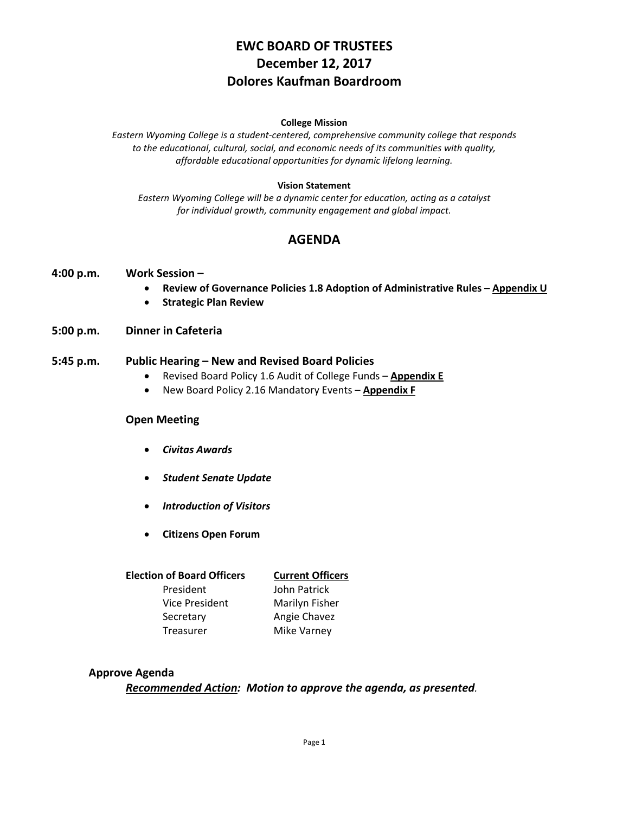# **EWC BOARD OF TRUSTEES December 12, 2017 Dolores Kaufman Boardroom**

#### **College Mission**

*Eastern Wyoming College is a student-centered, comprehensive community college that responds to the educational, cultural, social, and economic needs of its communities with quality, affordable educational opportunities for dynamic lifelong learning.*

#### **Vision Statement**

*Eastern Wyoming College will be a dynamic center for education, acting as a catalyst for individual growth, community engagement and global impact.*

# **AGENDA**

#### **4:00 p.m. Work Session –**

- **Review of Governance Policies 1.8 Adoption of Administrative Rules – Appendix U**
- **Strategic Plan Review**
- **5:00 p.m. Dinner in Cafeteria**

#### **5:45 p.m. Public Hearing – New and Revised Board Policies**

- Revised Board Policy 1.6 Audit of College Funds **Appendix E**
- New Board Policy 2.16 Mandatory Events **Appendix F**

#### **Open Meeting**

- *Civitas Awards*
- *Student Senate Update*
- *Introduction of Visitors*
- **Citizens Open Forum**

| <b>Current Officers</b> |
|-------------------------|
| John Patrick            |
| Marilyn Fisher          |
| Angie Chavez            |
| Mike Varney             |
|                         |

#### **Approve Agenda**

*Recommended Action: Motion to approve the agenda, as presented.*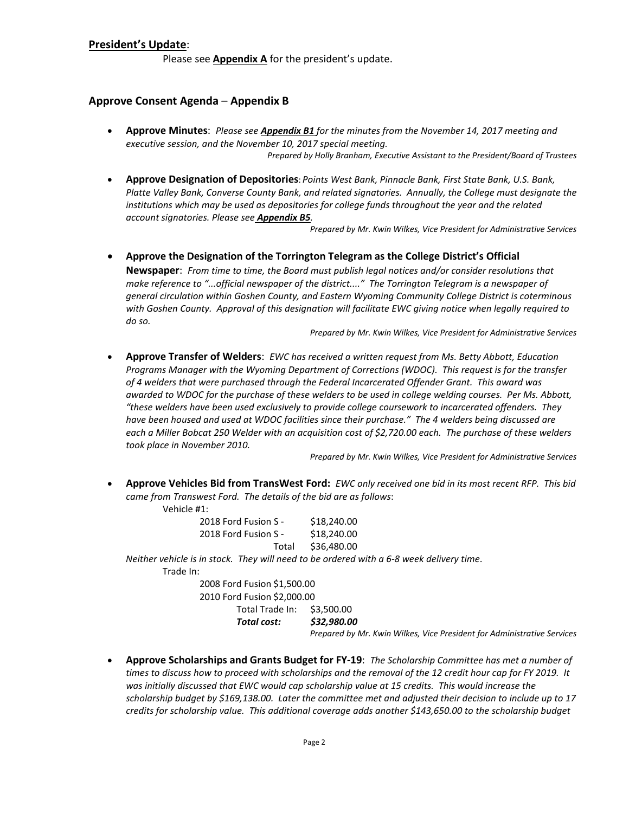#### **President's Update**:

Please see **Appendix A** for the president's update.

#### **Approve Consent Agenda** – **Appendix B**

- **Approve Minutes**: *Please see Appendix B1 for the minutes from the November 14, 2017 meeting and executive session, and the November 10, 2017 special meeting. Prepared by Holly Branham, Executive Assistant to the President/Board of Trustees*
- **Approve Designation of Depositories**: *Points West Bank, Pinnacle Bank, First State Bank, U.S. Bank, Platte Valley Bank, Converse County Bank, and related signatories. Annually, the College must designate the institutions which may be used as depositories for college funds throughout the year and the related account signatories. Please see Appendix B5.*

*Prepared by Mr. Kwin Wilkes, Vice President for Administrative Services*

• **Approve the Designation of the Torrington Telegram as the College District's Official Newspaper**: *From time to time, the Board must publish legal notices and/or consider resolutions that make reference to "...official newspaper of the district...." The Torrington Telegram is a newspaper of general circulation within Goshen County, and Eastern Wyoming Community College District is coterminous with Goshen County. Approval of this designation will facilitate EWC giving notice when legally required to do so.*

*Prepared by Mr. Kwin Wilkes, Vice President for Administrative Services*

• **Approve Transfer of Welders**: *EWC has received a written request from Ms. Betty Abbott, Education Programs Manager with the Wyoming Department of Corrections (WDOC). This request is for the transfer of 4 welders that were purchased through the Federal Incarcerated Offender Grant. This award was awarded to WDOC for the purchase of these welders to be used in college welding courses. Per Ms. Abbott, "these welders have been used exclusively to provide college coursework to incarcerated offenders. They have been housed and used at WDOC facilities since their purchase." The 4 welders being discussed are each a Miller Bobcat 250 Welder with an acquisition cost of \$2,720.00 each. The purchase of these welders took place in November 2010.*

*Prepared by Mr. Kwin Wilkes, Vice President for Administrative Services*

• **Approve Vehicles Bid from TransWest Ford:** *EWC only received one bid in its most recent RFP. This bid came from Transwest Ford. The details of the bid are as follows*:

Vehicle #1:

| 2018 Ford Fusion S - |       | \$18,240.00 |
|----------------------|-------|-------------|
| 2018 Ford Fusion S - |       | \$18,240.00 |
|                      | Total | \$36,480.00 |

*Neither vehicle is in stock. They will need to be ordered with a 6-8 week delivery time*. Trade In:

> 2008 Ford Fusion \$1,500.00 2010 Ford Fusion \$2,000.00 Total Trade In: \$3,500.00

*Total cost: \$32,980.00*

*Prepared by Mr. Kwin Wilkes, Vice President for Administrative Services*

• **Approve Scholarships and Grants Budget for FY-19**: *The Scholarship Committee has met a number of times to discuss how to proceed with scholarships and the removal of the 12 credit hour cap for FY 2019. It was initially discussed that EWC would cap scholarship value at 15 credits. This would increase the scholarship budget by \$169,138.00. Later the committee met and adjusted their decision to include up to 17 credits for scholarship value. This additional coverage adds another \$143,650.00 to the scholarship budget*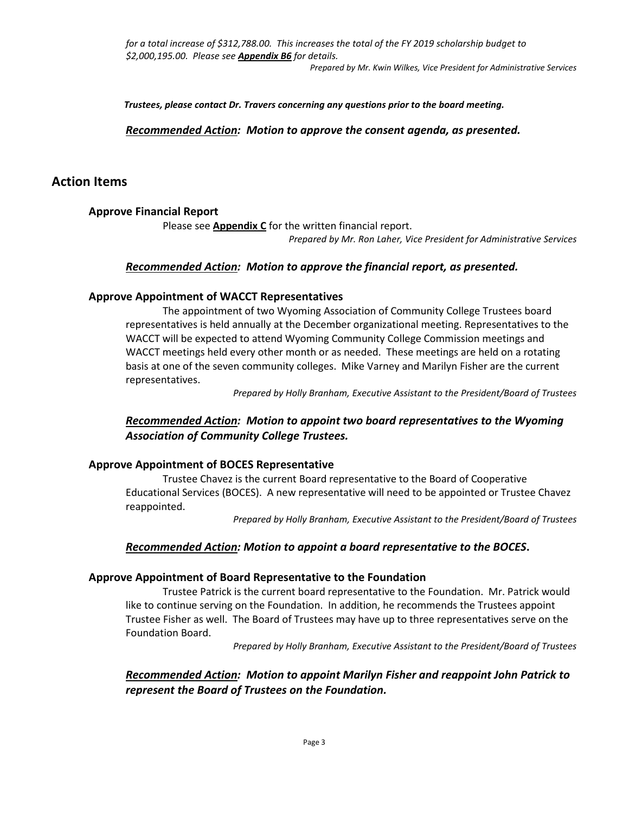*for a total increase of \$312,788.00. This increases the total of the FY 2019 scholarship budget to \$2,000,195.00. Please see Appendix B6 for details.*

*Prepared by Mr. Kwin Wilkes, Vice President for Administrative Services*

*Trustees, please contact Dr. Travers concerning any questions prior to the board meeting.*

*Recommended Action: Motion to approve the consent agenda, as presented.*

# **Action Items**

### **Approve Financial Report**

Please see **Appendix C** for the written financial report.

*Prepared by Mr. Ron Laher, Vice President for Administrative Services*

#### *Recommended Action: Motion to approve the financial report, as presented.*

### **Approve Appointment of WACCT Representatives**

The appointment of two Wyoming Association of Community College Trustees board representatives is held annually at the December organizational meeting. Representatives to the WACCT will be expected to attend Wyoming Community College Commission meetings and WACCT meetings held every other month or as needed. These meetings are held on a rotating basis at one of the seven community colleges. Mike Varney and Marilyn Fisher are the current representatives.

*Prepared by Holly Branham, Executive Assistant to the President/Board of Trustees*

### *Recommended Action: Motion to appoint two board representatives to the Wyoming Association of Community College Trustees.*

### **Approve Appointment of BOCES Representative**

Trustee Chavez is the current Board representative to the Board of Cooperative Educational Services (BOCES). A new representative will need to be appointed or Trustee Chavez reappointed.

*Prepared by Holly Branham, Executive Assistant to the President/Board of Trustees*

### *Recommended Action: Motion to appoint a board representative to the BOCES***.**

#### **Approve Appointment of Board Representative to the Foundation**

Trustee Patrick is the current board representative to the Foundation. Mr. Patrick would like to continue serving on the Foundation. In addition, he recommends the Trustees appoint Trustee Fisher as well. The Board of Trustees may have up to three representatives serve on the Foundation Board.

*Prepared by Holly Branham, Executive Assistant to the President/Board of Trustees*

### *Recommended Action: Motion to appoint Marilyn Fisher and reappoint John Patrick to represent the Board of Trustees on the Foundation.*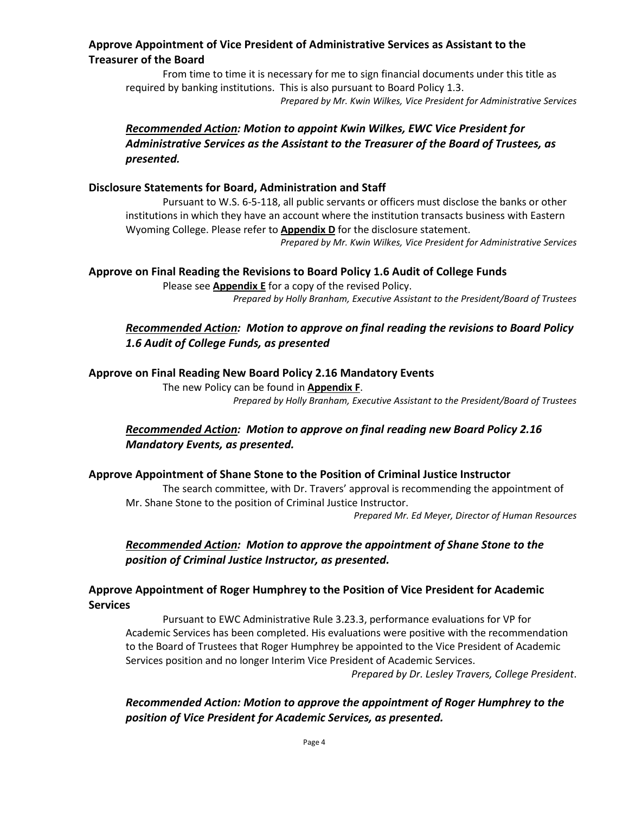# **Approve Appointment of Vice President of Administrative Services as Assistant to the Treasurer of the Board**

From time to time it is necessary for me to sign financial documents under this title as required by banking institutions. This is also pursuant to Board Policy 1.3.

*Prepared by Mr. Kwin Wilkes, Vice President for Administrative Services*

# *Recommended Action: Motion to appoint Kwin Wilkes, EWC Vice President for Administrative Services as the Assistant to the Treasurer of the Board of Trustees, as presented.*

#### **Disclosure Statements for Board, Administration and Staff**

Pursuant to W.S. 6-5-118, all public servants or officers must disclose the banks or other institutions in which they have an account where the institution transacts business with Eastern Wyoming College. Please refer to **Appendix D** for the disclosure statement.

*Prepared by Mr. Kwin Wilkes, Vice President for Administrative Services*

#### **Approve on Final Reading the Revisions to Board Policy 1.6 Audit of College Funds**

Please see **Appendix E** for a copy of the revised Policy. *Prepared by Holly Branham, Executive Assistant to the President/Board of Trustees*

# *Recommended Action: Motion to approve on final reading the revisions to Board Policy 1.6 Audit of College Funds, as presented*

#### **Approve on Final Reading New Board Policy 2.16 Mandatory Events**

The new Policy can be found in **Appendix F**. *Prepared by Holly Branham, Executive Assistant to the President/Board of Trustees*

# *Recommended Action: Motion to approve on final reading new Board Policy 2.16 Mandatory Events, as presented.*

### **Approve Appointment of Shane Stone to the Position of Criminal Justice Instructor**

The search committee, with Dr. Travers' approval is recommending the appointment of Mr. Shane Stone to the position of Criminal Justice Instructor.

*Prepared Mr. Ed Meyer, Director of Human Resources*

### *Recommended Action: Motion to approve the appointment of Shane Stone to the position of Criminal Justice Instructor, as presented.*

### **Approve Appointment of Roger Humphrey to the Position of Vice President for Academic Services**

Pursuant to EWC Administrative Rule 3.23.3, performance evaluations for VP for Academic Services has been completed. His evaluations were positive with the recommendation to the Board of Trustees that Roger Humphrey be appointed to the Vice President of Academic Services position and no longer Interim Vice President of Academic Services.

*Prepared by Dr. Lesley Travers, College President*.

*Recommended Action: Motion to approve the appointment of Roger Humphrey to the position of Vice President for Academic Services, as presented.*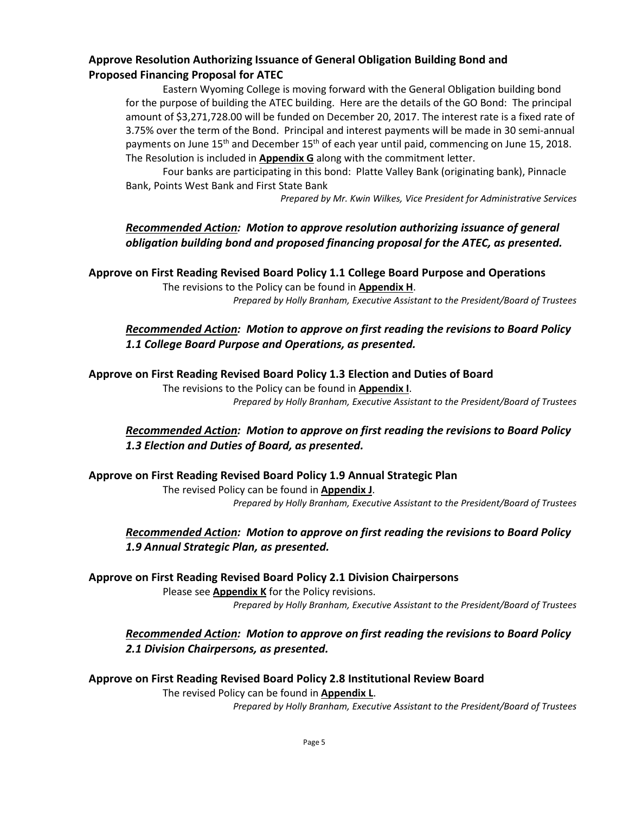### **Approve Resolution Authorizing Issuance of General Obligation Building Bond and Proposed Financing Proposal for ATEC**

Eastern Wyoming College is moving forward with the General Obligation building bond for the purpose of building the ATEC building. Here are the details of the GO Bond: The principal amount of \$3,271,728.00 will be funded on December 20, 2017. The interest rate is a fixed rate of 3.75% over the term of the Bond. Principal and interest payments will be made in 30 semi-annual payments on June 15<sup>th</sup> and December 15<sup>th</sup> of each year until paid, commencing on June 15, 2018. The Resolution is included in **Appendix G** along with the commitment letter.

Four banks are participating in this bond: Platte Valley Bank (originating bank), Pinnacle Bank, Points West Bank and First State Bank

*Prepared by Mr. Kwin Wilkes, Vice President for Administrative Services*

# *Recommended Action: Motion to approve resolution authorizing issuance of general obligation building bond and proposed financing proposal for the ATEC, as presented.*

**Approve on First Reading Revised Board Policy 1.1 College Board Purpose and Operations**

The revisions to the Policy can be found in **Appendix H**. *Prepared by Holly Branham, Executive Assistant to the President/Board of Trustees*

# *Recommended Action: Motion to approve on first reading the revisions to Board Policy 1.1 College Board Purpose and Operations, as presented.*

#### **Approve on First Reading Revised Board Policy 1.3 Election and Duties of Board**

The revisions to the Policy can be found in **Appendix I**. *Prepared by Holly Branham, Executive Assistant to the President/Board of Trustees*

# *Recommended Action: Motion to approve on first reading the revisions to Board Policy 1.3 Election and Duties of Board, as presented.*

### **Approve on First Reading Revised Board Policy 1.9 Annual Strategic Plan**

The revised Policy can be found in **Appendix J**. *Prepared by Holly Branham, Executive Assistant to the President/Board of Trustees*

# *Recommended Action: Motion to approve on first reading the revisions to Board Policy 1.9 Annual Strategic Plan, as presented.*

### **Approve on First Reading Revised Board Policy 2.1 Division Chairpersons**

Please see **Appendix K** for the Policy revisions. *Prepared by Holly Branham, Executive Assistant to the President/Board of Trustees*

# *Recommended Action: Motion to approve on first reading the revisions to Board Policy 2.1 Division Chairpersons, as presented.*

### **Approve on First Reading Revised Board Policy 2.8 Institutional Review Board**

The revised Policy can be found in **Appendix L**. *Prepared by Holly Branham, Executive Assistant to the President/Board of Trustees*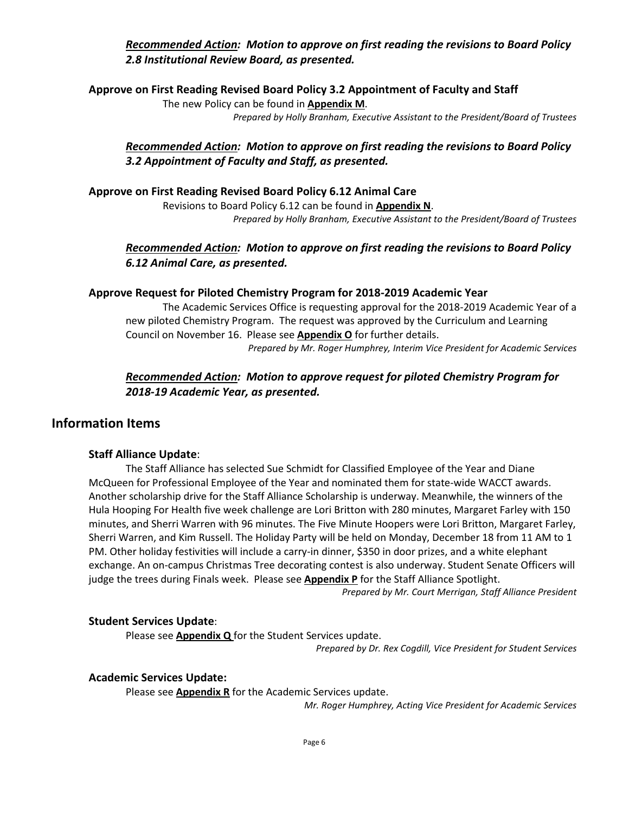# *Recommended Action: Motion to approve on first reading the revisions to Board Policy 2.8 Institutional Review Board, as presented.*

**Approve on First Reading Revised Board Policy 3.2 Appointment of Faculty and Staff**

The new Policy can be found in **Appendix M**.

*Prepared by Holly Branham, Executive Assistant to the President/Board of Trustees*

# *Recommended Action: Motion to approve on first reading the revisions to Board Policy 3.2 Appointment of Faculty and Staff, as presented.*

### **Approve on First Reading Revised Board Policy 6.12 Animal Care**

Revisions to Board Policy 6.12 can be found in **Appendix N**. *Prepared by Holly Branham, Executive Assistant to the President/Board of Trustees*

# *Recommended Action: Motion to approve on first reading the revisions to Board Policy 6.12 Animal Care, as presented.*

### **Approve Request for Piloted Chemistry Program for 2018-2019 Academic Year**

The Academic Services Office is requesting approval for the 2018-2019 Academic Year of a new piloted Chemistry Program. The request was approved by the Curriculum and Learning Council on November 16. Please see **Appendix O** for further details.

*Prepared by Mr. Roger Humphrey, Interim Vice President for Academic Services*

# *Recommended Action: Motion to approve request for piloted Chemistry Program for 2018-19 Academic Year, as presented.*

# **Information Items**

### **Staff Alliance Update**:

The Staff Alliance has selected Sue Schmidt for Classified Employee of the Year and Diane McQueen for Professional Employee of the Year and nominated them for state-wide WACCT awards. Another scholarship drive for the Staff Alliance Scholarship is underway. Meanwhile, the winners of the Hula Hooping For Health five week challenge are Lori Britton with 280 minutes, Margaret Farley with 150 minutes, and Sherri Warren with 96 minutes. The Five Minute Hoopers were Lori Britton, Margaret Farley, Sherri Warren, and Kim Russell. The Holiday Party will be held on Monday, December 18 from 11 AM to 1 PM. Other holiday festivities will include a carry-in dinner, \$350 in door prizes, and a white elephant exchange. An on-campus Christmas Tree decorating contest is also underway. Student Senate Officers will judge the trees during Finals week. Please see **Appendix P** for the Staff Alliance Spotlight.

*Prepared by Mr. Court Merrigan, Staff Alliance President*

### **Student Services Update**:

Please see **Appendix Q** for the Student Services update.

*Prepared by Dr. Rex Cogdill, Vice President for Student Services*

### **Academic Services Update:**

Please see **Appendix R** for the Academic Services update.

*Mr. Roger Humphrey, Acting Vice President for Academic Services*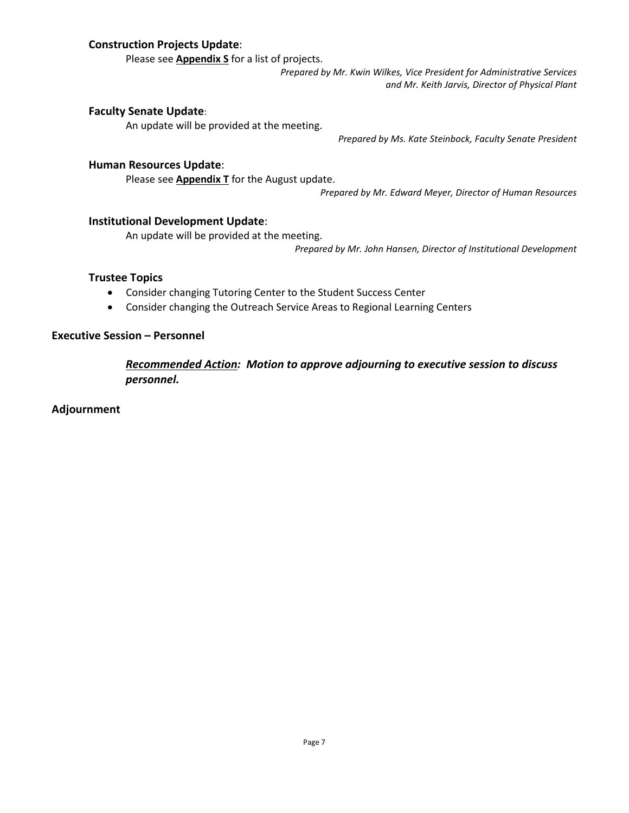### **Construction Projects Update**:

Please see **Appendix S** for a list of projects.

*Prepared by Mr. Kwin Wilkes, Vice President for Administrative Services and Mr. Keith Jarvis, Director of Physical Plant*

### **Faculty Senate Update**:

An update will be provided at the meeting.

*Prepared by Ms. Kate Steinbock, Faculty Senate President*

#### **Human Resources Update**:

Please see **Appendix T** for the August update.

*Prepared by Mr. Edward Meyer, Director of Human Resources*

#### **Institutional Development Update**:

An update will be provided at the meeting.

*Prepared by Mr. John Hansen, Director of Institutional Development*

#### **Trustee Topics**

- Consider changing Tutoring Center to the Student Success Center
- Consider changing the Outreach Service Areas to Regional Learning Centers

### **Executive Session – Personnel**

*Recommended Action: Motion to approve adjourning to executive session to discuss personnel.*

**Adjournment**